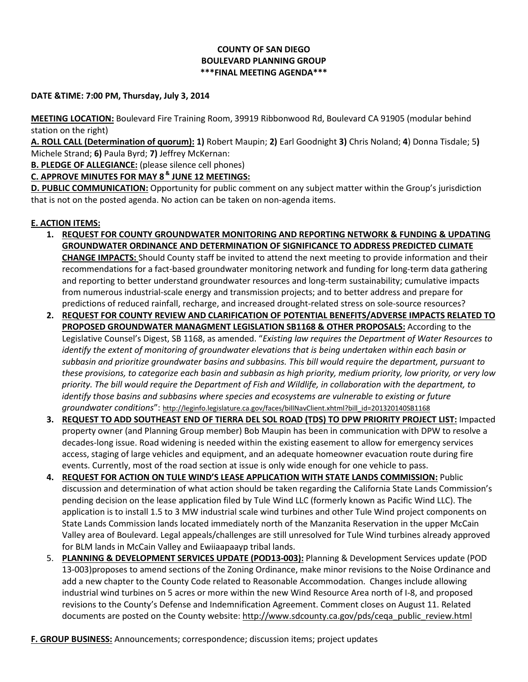## **COUNTY OF SAN DIEGO BOULEVARD PLANNING GROUP \*\*\*FINAL MEETING AGENDA\*\*\***

## **DATE &TIME: 7:00 PM, Thursday, July 3, 2014**

**MEETING LOCATION:** Boulevard Fire Training Room, 39919 Ribbonwood Rd, Boulevard CA 91905 (modular behind station on the right)

**A. ROLL CALL (Determination of quorum): 1)** Robert Maupin; **2)** Earl Goodnight **3)** Chris Noland; **4**) Donna Tisdale; 5**)**  Michele Strand; **6)** Paula Byrd; **7)** Jeffrey McKernan:

**B. PLEDGE OF ALLEGIANCE:** (please silence cell phones)

**C. APPROVE MINUTES FOR MAY 8 & JUNE 12 MEETINGS:** 

**D. PUBLIC COMMUNICATION:** Opportunity for public comment on any subject matter within the Group's jurisdiction that is not on the posted agenda. No action can be taken on non-agenda items.

## **E. ACTION ITEMS:**

- **1. REQUEST FOR COUNTY GROUNDWATER MONITORING AND REPORTING NETWORK & FUNDING & UPDATING GROUNDWATER ORDINANCE AND DETERMINATION OF SIGNIFICANCE TO ADDRESS PREDICTED CLIMATE CHANGE IMPACTS:** Should County staff be invited to attend the next meeting to provide information and their recommendations for a fact-based groundwater monitoring network and funding for long-term data gathering and reporting to better understand groundwater resources and long-term sustainability; cumulative impacts from numerous industrial-scale energy and transmission projects; and to better address and prepare for predictions of reduced rainfall, recharge, and increased drought-related stress on sole-source resources?
- **2. REQUEST FOR COUNTY REVIEW AND CLARIFICATION OF POTENTIAL BENEFITS/ADVERSE IMPACTS RELATED TO PROPOSED GROUNDWATER MANAGMENT LEGISLATION SB1168 & OTHER PROPOSALS:** According to the Legislative Counsel's Digest, SB 1168, as amended. "*Existing law requires the Department of Water Resources to identify the extent of monitoring of groundwater elevations that is being undertaken within each basin or subbasin and prioritize groundwater basins and subbasins. This bill would require the department, pursuant to* these provisions, to categorize each basin and subbasin as high priority, medium priority, low priority, or very low priority. The bill would require the Department of Fish and Wildlife, in collaboration with the department, to *identify those basins and subbasins where species and ecosystems are vulnerable to existing or future groundwater conditions*": [http://leginfo.legislature.ca.gov/faces/billNavClient.xhtml?bill\\_id=201320140SB1168](http://leginfo.legislature.ca.gov/faces/billNavClient.xhtml?bill_id=201320140SB1168)
- **3. REQUEST TO ADD SOUTHEAST END OF TIERRA DEL SOL ROAD (TDS) TO DPW PRIORITY PROJECT LIST:** Impacted property owner (and Planning Group member) Bob Maupin has been in communication with DPW to resolve a decades-long issue. Road widening is needed within the existing easement to allow for emergency services access, staging of large vehicles and equipment, and an adequate homeowner evacuation route during fire events. Currently, most of the road section at issue is only wide enough for one vehicle to pass.
- **4. REQUEST FOR ACTION ON TULE WIND'S LEASE APPLICATION WITH STATE LANDS COMMISSION:** Public discussion and determination of what action should be taken regarding the California State Lands Commission's pending decision on the lease application filed by Tule Wind LLC (formerly known as Pacific Wind LLC). The application is to install 1.5 to 3 MW industrial scale wind turbines and other Tule Wind project components on State Lands Commission lands located immediately north of the Manzanita Reservation in the upper McCain Valley area of Boulevard. Legal appeals/challenges are still unresolved for Tule Wind turbines already approved for BLM lands in McCain Valley and Ewiiaapaayp tribal lands.
- 5. **PLANNING & DEVELOPMENT SERVICES UPDATE (POD13-003):** Planning & Development Services update (POD 13-003)proposes to amend sections of the Zoning Ordinance, make minor revisions to the Noise Ordinance and add a new chapter to the County Code related to Reasonable Accommodation. Changes include allowing industrial wind turbines on 5 acres or more within the new Wind Resource Area north of I-8, and proposed revisions to the County's Defense and Indemnification Agreement. Comment closes on August 11. Related documents are posted on the County website: [http://www.sdcounty.ca.gov/pds/ceqa\\_public\\_review.html](http://www.sdcounty.ca.gov/pds/ceqa_public_review.html)
- **F. GROUP BUSINESS:** Announcements; correspondence; discussion items; project updates